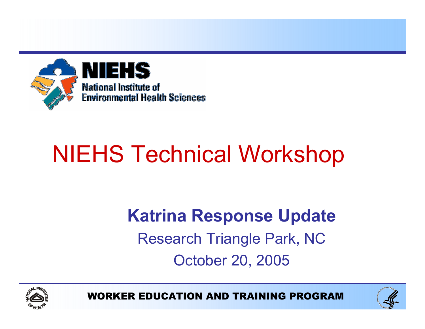

# NIEHS Technical Workshop

### Katrina Response Update Research Triangle Park, NC October 20, 2005



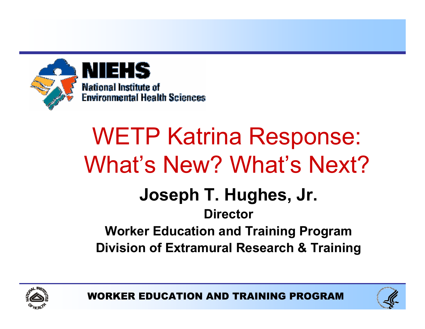

# WETP Katrina Response: What's New? What's Next?

### Joseph T. Hughes, Jr.

### **Director** Worker Education and Training Program Division of Extramural Research & Training





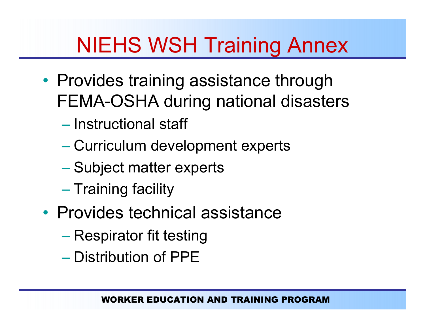# NIEHS WSH Training Annex

- Provides training assistance through FEMA-OSHA during national disasters
	- Instructional staff
	- Curriculum development experts
	- Subject matter experts
	- $-$  Training facility
- Provides technical assistance
	- Respirator fit testing
	- Distribution of PPE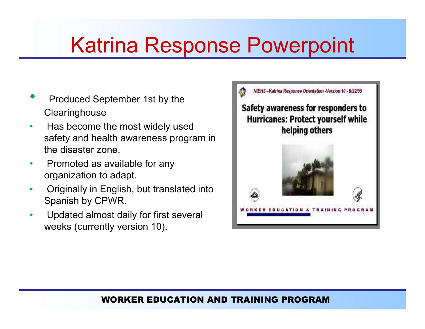### Katrina Response Powerpoint

- •**• Produced September 1st by the Clearinghouse**
- $\bullet$ • Has become the most widely used safety and health awareness program in the disaster zone.
- •• Promoted as available for any organization to adapt.
- $\bullet$  Originally in English, but translated into Spanish by CPWR.
- • Updated almost daily for first several weeks (currently version 10).

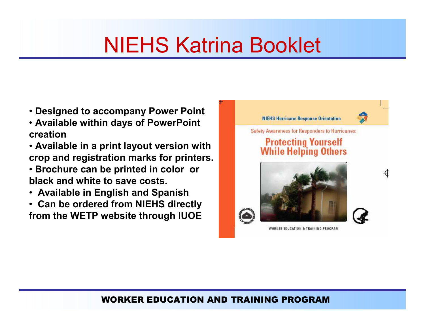### NIEHS Katrina Booklet

- Designed to accompany Power Point
- Available within days of PowerPoint creation
- Available in <sup>a</sup> print layout version with crop and registration marks for printers.
- Brochure can be printed in color or black and white to save costs.
- Available in English and Spanish
- Can be ordered from NIEHS directly from the WETP website through IUOE

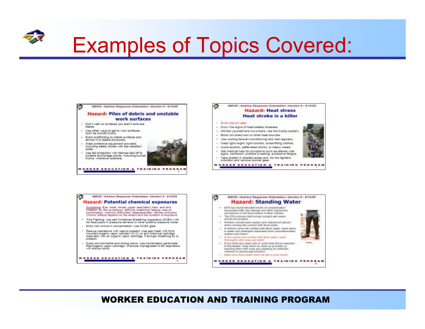

### Examples of Topics Covered:





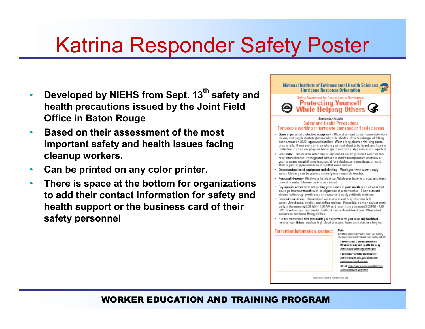### Katrina Responder Safety Poster

- Developed by NIEHS from Sept. 13 $^{\sf th}$  safety and •health precautions issued by the Joint Field Office in Baton Rouge
- • Based on their assessment of the most important safety and health issues facing cleanup workers.
- $\bullet$ Can be printed on any color printer.
- $\bullet$  There is space at the bottom for organizations to add their contact information for safety and health support or the business card of their safety personnel



**BUSINESS CONTROL & THE MINO PROGRAM**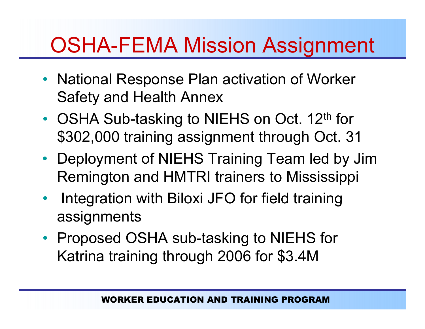### OSHA-FEMA Mission Assignment

- National Response Plan activation of Worker Safety and Health Annex
- OSHA Sub-tasking to NIEHS on Oct. 12<sup>th</sup> for \$302,000 training assignment through Oct. 31
- Deployment of NIEHS Training Team led by Jim Remington and HMTRI trainers to Mississippi
- • Integration with Biloxi JFO for field training assignments
- Proposed OSHA sub-tasking to NIEHS for Katrina training through 2006 for \$3.4M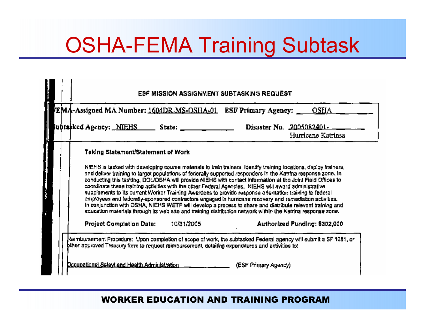### OSHA-FEMA Training Subtask

| ubtasked Agency: <u>_NIEHS ___</u> __                                                                                                                                                                                                                                                                                                                                                                                                                                                                                                                                                                                                                                                                                                                                                                                                                                                                                                                  | State: | Disaster No. 2005082401-      | Hurricane Katrinsa |
|--------------------------------------------------------------------------------------------------------------------------------------------------------------------------------------------------------------------------------------------------------------------------------------------------------------------------------------------------------------------------------------------------------------------------------------------------------------------------------------------------------------------------------------------------------------------------------------------------------------------------------------------------------------------------------------------------------------------------------------------------------------------------------------------------------------------------------------------------------------------------------------------------------------------------------------------------------|--------|-------------------------------|--------------------|
| Taking Statement/Statement of Work                                                                                                                                                                                                                                                                                                                                                                                                                                                                                                                                                                                                                                                                                                                                                                                                                                                                                                                     |        |                               |                    |
| NIEHS is tasked with developing course materials to train trainers, identify training locations, deploy trainers,<br>and deliver training to target populations of federally supported responders in the Katrina response zone. In<br>conducting this tasking, DOUOSHA will provide NIEHS with contact information at the Joint Field Offices to<br>coordinate these training activities with the other Federal Agencies. NIEHS will award administrative<br>supplements to its current Worker Training Awardees to provide response orientation training to federal<br>employees and federally-sponsored contractors engaged in hurricane recovery and remadiation activities.<br>In conjunction with OSHA, NIEHS WETP will develop a process to share and distribute relevant training and<br>education materials through its web site and training distribution network within the Katrina response zone.<br>Project Completion Date:<br>10/31/2005 |        |                               |                    |
|                                                                                                                                                                                                                                                                                                                                                                                                                                                                                                                                                                                                                                                                                                                                                                                                                                                                                                                                                        |        | Authorized Funding: \$302,000 |                    |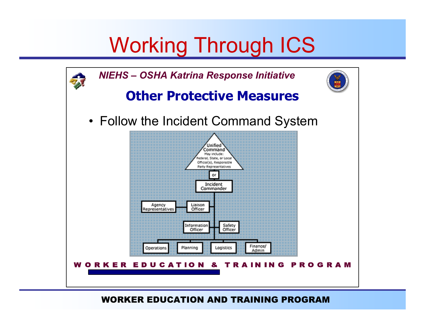### Working Through ICS

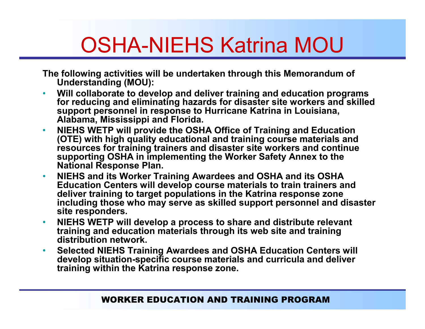### OSHA-NIEHS Katrina MOU

The following activities will be undertaken through this Memorandum of Understanding (MOU):

- • Will collaborate to develop and deliver training and education programs for reducing and eliminating hazards for disaster site workers and skilled support personnel in response to Hurricane Katrina in Louisiana, Alabama, Mississippi and Florida.
- $\bullet$  NIEHS WETP will provide the OSHA Office of Training and Education (OTE) with high quality educational and training course materials and resources for training trainers and disaster site workers and continue supporting OSHA in implementing the Worker Safety Annex to the National Response Plan.
- $\bullet$  NIEHS and its Worker Training Awardees and OSHA and its OSHA Education Centers will develop course materials to train trainers and deliver training to target populations in the Katrina response zone including those who may serve as skilled support personnel and disaster site responders.
- $\bullet$  NIEHS WETP will develop <sup>a</sup> process to share and distribute relevant training and education materials through its web site and training distribution network.
- $\bullet$  Selected NIEHS Training Awardees and OSHA Education Centers will develop situation-specific course materials and curricula and deliver training within the Katrina response zone.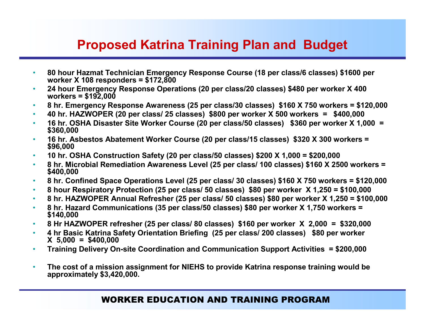### Proposed Katrina Training Plan and Budget

- • 80 hour Hazmat Technician Emergency Response Course (18 per class/6 classes) \$1600 per worker X 108 responders <sup>=</sup> \$172,800
- • 24 hour Emergency Response Operations (20 per class/20 classes) \$480 per worker X 400 workers <sup>=</sup> \$192,000
- •8 hr. Emergency Response Awareness (25 per class/30 classes) \$160 X 750 workers <sup>=</sup> \$120,000
- •40 hr. HAZWOPER (20 per class/ 25 classes) \$800 per worker X 500 workers <sup>=</sup> \$400,000
- •16 hr. OSHA Disaster Site Worker Course (20 per class/50 classes) \$360 per worker <sup>X</sup> 1,000 <sup>=</sup> \$360,000
- •16 hr. Asbestos Abatement Worker Course (20 per class/15 classes) \$320 <sup>X</sup> <sup>300</sup> workers <sup>=</sup> \$96,000
- •10 hr. OSHA Construction Safety (20 per class/50 classes) \$200 X 1,000 <sup>=</sup> \$200,000
- •8 hr. Microbial Remediation Awareness Level (25 per class/ <sup>100</sup> classes) \$160 <sup>X</sup> <sup>2500</sup> workers <sup>=</sup> \$400,000
- •8 hr. Confined Space Operations Level (25 per class/ 30 classes) \$160 X 750 workers <sup>=</sup> \$120,000
- •8 hour Respiratory Protection (25 per class/ 50 classes) \$80 per worker X 1,250 <sup>=</sup> \$100,000
- •8 hr. HAZWOPER Annual Refresher (25 per class/ 50 classes) \$80 per worker X 1,250 <sup>=</sup> \$100,000
- •8 hr. Hazard Communications (35 per class/50 classes) \$80 per worker <sup>X</sup> 1,750 workers <sup>=</sup> \$140,000
- •8 Hr HAZWOPER refresher (25 per class/ 80 classes) \$160 per worker X 2,000 <sup>=</sup> \$320,000
- • 4 hr Basic Katrina Safety Orientation Briefing (25 per class/ 200 classes) \$80 per worker X 5,000 <sup>=</sup> \$400,000
- $\bullet$ Training Delivery On-site Coordination and Communication Support Activities = \$200,000
- • The cost of a mission assignment for NIEHS to provide Katrina response training would be approximately \$3,420,000.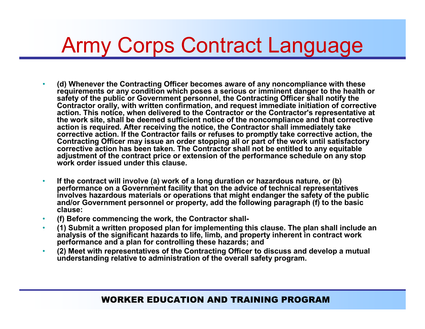### Army Corps Contract Language

- • (d) Whenever the Contracting Officer becomes aware of any noncompliance with these requirements or any condition which poses <sup>a</sup> serious or imminent danger to the health or safety of the public or Government personnel, the Contracting Officer shall notify the Contractor orally, with written confirmation, and request immediate initiation of corrective action. This notice, when delivered to the Contractor or the Contractor's representative at the work site, shall be deemed sufficient notice of the noncompliance and that corrective action is required. After receiving the notice, the Contractor shall immediately take corrective action. If the Contractor fails or refuses to promptly take corrective action, the Contracting Officer may issue an order stopping all or part of the work until satisfactory corrective action has been taken. The Contractor shall not be entitled to any equitable adjustment of the contract price or extension of the performance schedule on any stop work order issued under this clause.
- $\bullet$  If the contract will involve (a) work of <sup>a</sup> long duration or hazardous nature, or (b) performance on <sup>a</sup> Government facility that on the advice of technical representatives involves hazardous materials or operations that might endanger the safety of the public and/or Government personnel or property, add the following paragraph (f) to the basic clause:
- •(f) Before commencing the work, the Contractor shall
- $\bullet$  (1) Submit <sup>a</sup> written proposed plan for implementing this clause. The plan shall include an analysis of the significant hazards to life, limb, and property inherent in contract work performance and <sup>a</sup> plan for controlling these hazards; and
- • (2) Meet with representatives of the Contracting Officer to discuss and develop <sup>a</sup> mutual understanding relative to administration of the overall safety program.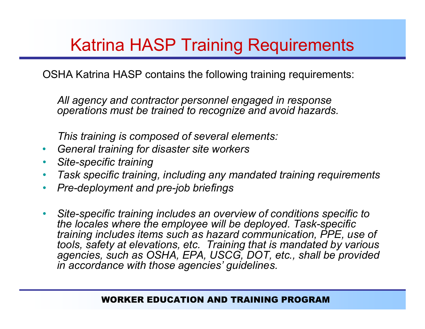### Katrina HASP Training Requirements

OSHA Katrina HASP contains the following training requirements:

All agency and contractor personnel engaged in response operations must be trained to recognize and avoid hazards.

This training is composed of several elements:

- $\bullet$ General training for disaster site workers
- $\bullet$ Site-specific training
- $\bullet$ Task specific training, including any mandated training requirements
- •Pre-deployment and pre-job briefings
- •Site-specific training includes an overview of conditions specific to the locales where the employee will be deployed. Task-specific training includes items such as hazard communication, PPE, use of tools, safety at elevations, etc. Training that is mandated by various agencies, such as OSHA, EPA, USCG, DOT, etc., shall be provided in accordance with those agencies' guidelines.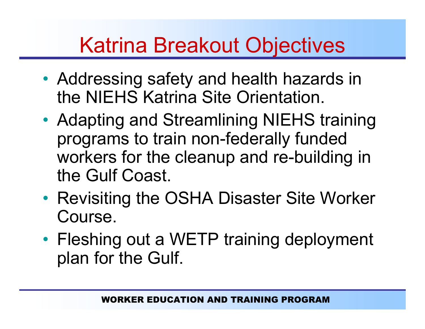### Katrina Breakout Objectives

- • Addressing safety and health hazards in the NIEHS Katrina Site Orientation.
- • Adapting and Streamlining NIEHS training programs to train non-federally funded workers for the cleanup and re-building in the Gulf Coast.
- • Revisiting the OSHA Disaster Site Worker Course.
- Fleshing out <sup>a</sup> WETP training deployment plan for the Gulf.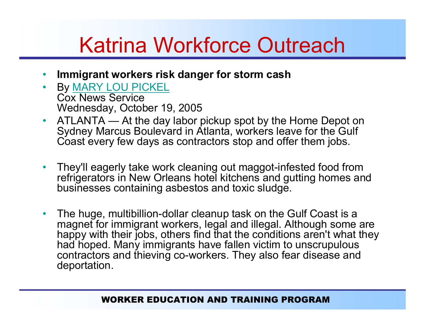## Katrina Workforce Outreach

- •Immigrant workers risk danger for storm cash
- •• By <u>MARY LOU PICKEL</u> Cox News ServiceWednesday, October 19, 2005
- $\bullet$  ATLANTA — At the day labor pickup spot by the Home Depot on Sydney Marcus Boulevard in Atlanta, workers leave for the Gulf Coast every few days as contractors stop and offer them jobs.
- $\bullet$  They'll eagerly take work cleaning out maggot-infested food from refrigerators in New Orleans hotel kitchens and gutting homes and businesses containing asbestos and toxic sludge.
- • The huge, multibillion-dollar cleanup task on the Gulf Coast is <sup>a</sup> magnet for immigrant workers, legal and illegal. Although some are happy with their jobs, others find that the conditions aren't what they had hoped. Many immigrants have fallen victim to unscrupulous contractors and thieving co-workers. They also fear disease and deportation.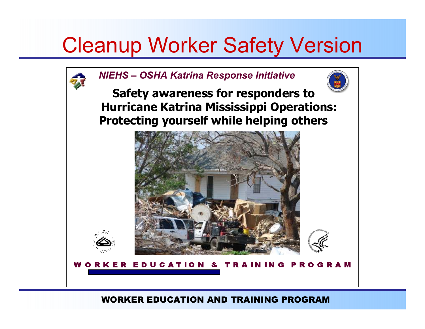### Cleanup Worker Safety Version